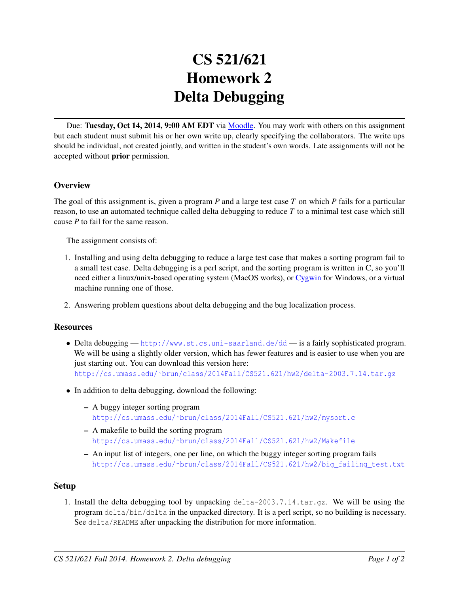# CS 521/621 Homework 2 Delta Debugging

Due: Tuesday, Oct 14, 2014, 9:00 AM EDT via [Moodle.](https://moodle.umass.edu/course/view.php?id=17268) You may work with others on this assignment but each student must submit his or her own write up, clearly specifying the collaborators. The write ups should be individual, not created jointly, and written in the student's own words. Late assignments will not be accepted without prior permission.

## **Overview**

The goal of this assignment is, given a program *P* and a large test case *T* on which *P* fails for a particular reason, to use an automated technique called delta debugging to reduce *T* to a minimal test case which still cause *P* to fail for the same reason.

The assignment consists of:

- 1. Installing and using delta debugging to reduce a large test case that makes a sorting program fail to a small test case. Delta debugging is a perl script, and the sorting program is written in C, so you'll need either a linux/unix-based operating system (MacOS works), or [Cygwin](http://www.cygwin.com) for Windows, or a virtual machine running one of those.
- 2. Answering problem questions about delta debugging and the bug localization process.

#### **Resources**

- Delta debugging <http://www.st.cs.uni-saarland.de/dd> is a fairly sophisticated program. We will be using a slightly older version, which has fewer features and is easier to use when you are just starting out. You can download this version here: [http://cs.umass.edu/˜brun/class/2014Fall/CS521.621/hw2/delta-2003.7.14.tar.gz](http://cs.umass.edu/~brun/class/2014Fall/CS521.621/hw2/delta-2003.7.14.tar.gz)
- In addition to delta debugging, download the following:
	- A buggy integer sorting program [http://cs.umass.edu/˜brun/class/2014Fall/CS521.621/hw2/mysort.c](http://cs.umass.edu/~brun/class/2014Fall/CS521.621/hw2/mysort.c)
	- A makefile to build the sorting program [http://cs.umass.edu/˜brun/class/2014Fall/CS521.621/hw2/Makefile](http://cs.umass.edu/~brun/class/2014Fall/CS521.621/hw2/Makefile)
	- An input list of integers, one per line, on which the buggy integer sorting program fails [http://cs.umass.edu/˜brun/class/2014Fall/CS521.621/hw2/big\\_failing\\_test.txt](http://cs.umass.edu/~brun/class/2014Fall/CS521.621/hw2/big_failing_test.txt)

#### Setup

1. Install the delta debugging tool by unpacking delta-2003.7.14.tar.gz. We will be using the program delta/bin/delta in the unpacked directory. It is a perl script, so no building is necessary. See delta/README after unpacking the distribution for more information.